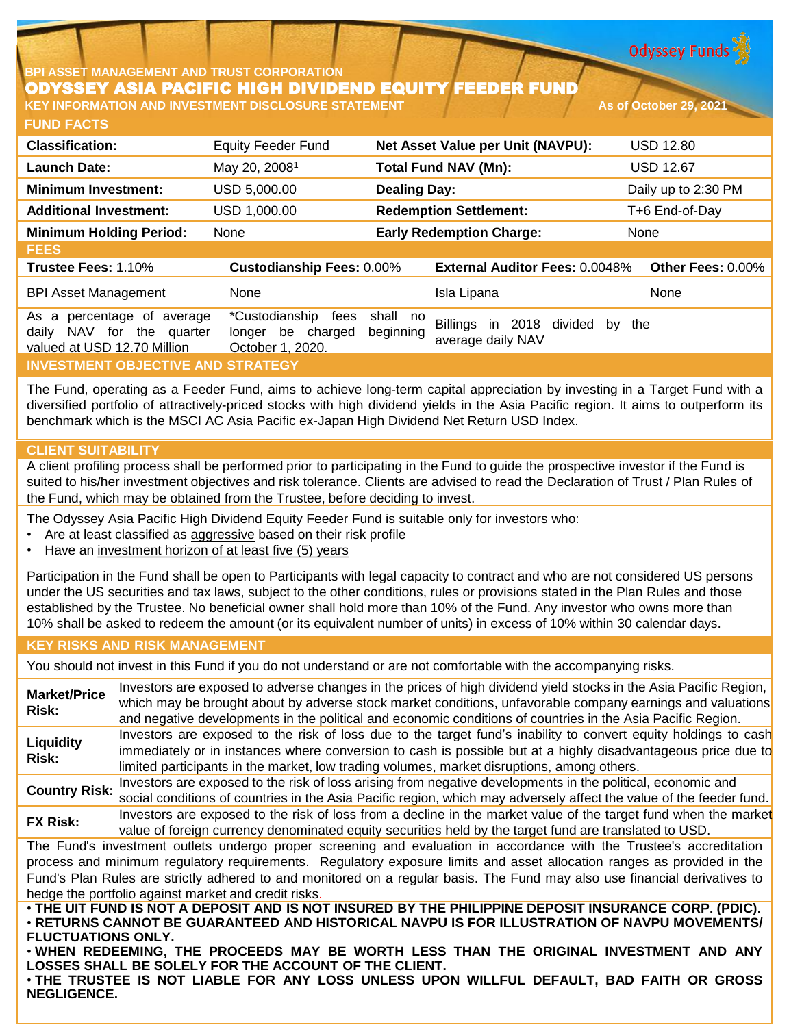**Odyssey Funds** 

# **BPI ASSET MANAGEMENT AND TRUST CORPORATION** ODYSSEY ASIA PACIFIC HIGH DIVIDEND EQUITY FEEDER FUND

**FUND FACTS KEY INFORMATION AND INVESTMENT DISCLOSURE STATEMENT AND AS of October 29, 2021** 

| <b>Classification:</b>                                                                       | <b>Equity Feeder Fund</b>                                       | Net Asset Value per Unit (NAVPU): |                                                     | <b>USD 12.80</b>    |  |
|----------------------------------------------------------------------------------------------|-----------------------------------------------------------------|-----------------------------------|-----------------------------------------------------|---------------------|--|
| <b>Launch Date:</b>                                                                          | May 20, 2008 <sup>1</sup>                                       |                                   | <b>Total Fund NAV (Mn):</b>                         | <b>USD 12.67</b>    |  |
| <b>Minimum Investment:</b>                                                                   | USD 5,000.00                                                    | <b>Dealing Day:</b>               |                                                     | Daily up to 2:30 PM |  |
| <b>Additional Investment:</b>                                                                | USD 1,000.00                                                    | <b>Redemption Settlement:</b>     |                                                     | T+6 End-of-Day      |  |
| <b>Minimum Holding Period:</b>                                                               | None                                                            |                                   | <b>Early Redemption Charge:</b>                     | None                |  |
| <b>FEES</b>                                                                                  |                                                                 |                                   |                                                     |                     |  |
| Trustee Fees: 1.10%                                                                          | <b>Custodianship Fees: 0.00%</b>                                |                                   | <b>External Auditor Fees: 0.0048%</b>               | Other Fees: 0.00%   |  |
| <b>BPI Asset Management</b>                                                                  | None                                                            |                                   | Isla Lipana                                         | None                |  |
| percentage of average<br>As a<br>NAV for the quarter<br>daily<br>valued at USD 12.70 Million | *Custodianship<br>fees<br>longer be charged<br>October 1, 2020. | shall no<br>beginning             | Billings in 2018 divided<br>bv<br>average daily NAV | the                 |  |
| <b>INVESTMENT OBJECTIVE AND STRATEGY</b>                                                     |                                                                 |                                   |                                                     |                     |  |

The Fund, operating as a Feeder Fund, aims to achieve long-term capital appreciation by investing in a Target Fund with a diversified portfolio of attractively-priced stocks with high dividend yields in the Asia Pacific region. It aims to outperform its benchmark which is the MSCI AC Asia Pacific ex-Japan High Dividend Net Return USD Index.

# **CLIENT SUITABILITY**

A client profiling process shall be performed prior to participating in the Fund to guide the prospective investor if the Fund is suited to his/her investment objectives and risk tolerance. Clients are advised to read the Declaration of Trust / Plan Rules of the Fund, which may be obtained from the Trustee, before deciding to invest.

The Odyssey Asia Pacific High Dividend Equity Feeder Fund is suitable only for investors who:

- Are at least classified as aggressive based on their risk profile
- Have an investment horizon of at least five (5) years

Participation in the Fund shall be open to Participants with legal capacity to contract and who are not considered US persons under the US securities and tax laws, subject to the other conditions, rules or provisions stated in the Plan Rules and those established by the Trustee. No beneficial owner shall hold more than 10% of the Fund. Any investor who owns more than 10% shall be asked to redeem the amount (or its equivalent number of units) in excess of 10% within 30 calendar days.

# **KEY RISKS AND RISK MANAGEMENT**

You should not invest in this Fund if you do not understand or are not comfortable with the accompanying risks.

**Market/Price Risk:** Investors are exposed to adverse changes in the prices of high dividend yield stocks in the Asia Pacific Region, which may be brought about by adverse stock market conditions, unfavorable company earnings and valuations and negative developments in the political and economic conditions of countries in the Asia Pacific Region. **Liquidity Risk:** Investors are exposed to the risk of loss due to the target fund's inability to convert equity holdings to cash immediately or in instances where conversion to cash is possible but at a highly disadvantageous price due to limited participants in the market, low trading volumes, market disruptions, among others. **Country Risk:** Investors are exposed to the risk of loss arising from negative developments in the political, economic and social conditions of countries in the Asia Pacific region, which may adversely affect the value of the feeder fund. **FX Risk:** Investors are exposed to the risk of loss from <sup>a</sup> decline in the market value of the target fund when the market value of foreign currency denominated equity securities held by the target fund are translated to USD. The Fund's investment outlets undergo proper screening and evaluation in accordance with the Trustee's accreditation process and minimum regulatory requirements. Regulatory exposure limits and asset allocation ranges as provided in the Fund's Plan Rules are strictly adhered to and monitored on a regular basis. The Fund may also use financial derivatives to hedge the portfolio against market and credit risks. . THE UIT FUND IS NOT A DEPOSIT AND IS NOT INSURED BY THE PHILIPPINE DEPOSIT INSURANCE CORP. (PDIC). • **RETURNS CANNOT BE GUARANTEED AND HISTORICAL NAVPU IS FOR ILLUSTRATION OF NAVPU MOVEMENTS/ FLUCTUATIONS ONLY.**

• **WHEN REDEEMING, THE PROCEEDS MAY BE WORTH LESS THAN THE ORIGINAL INVESTMENT AND ANY LOSSES SHALL BE SOLELY FOR THE ACCOUNT OF THE CLIENT.**

• **THE TRUSTEE IS NOT LIABLE FOR ANY LOSS UNLESS UPON WILLFUL DEFAULT, BAD FAITH OR GROSS NEGLIGENCE.**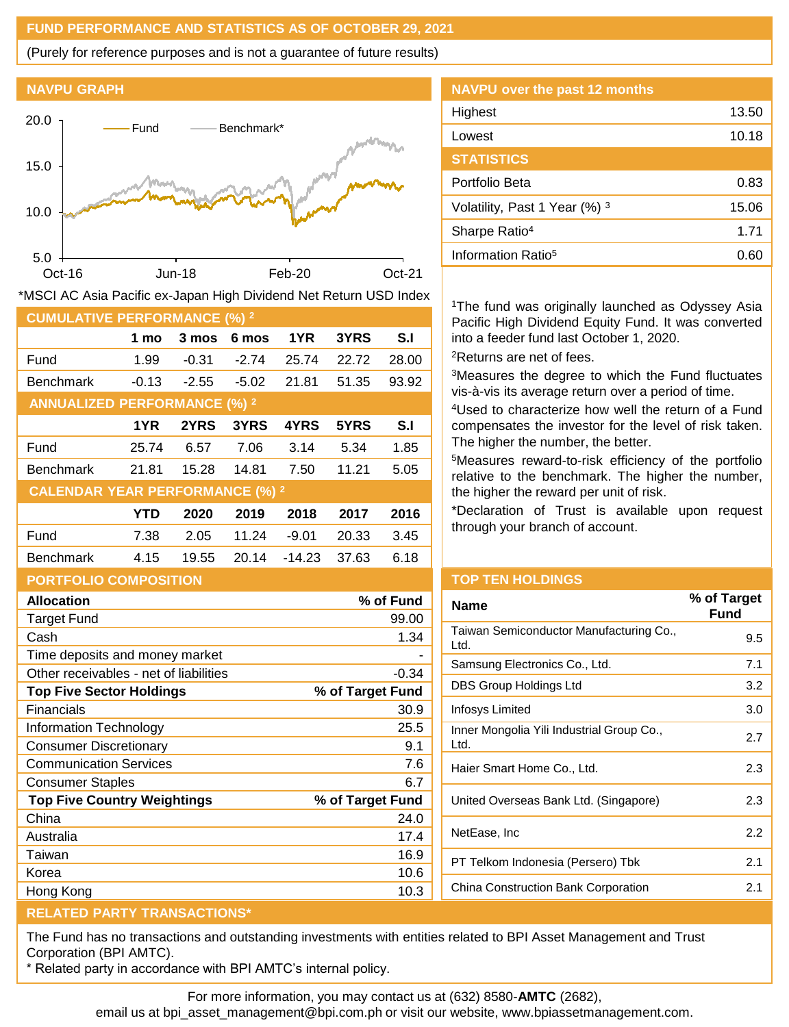## **FUND PERFORMANCE AND STATISTICS AS OF OCTOBER 29, 2021**

(Purely for reference purposes and is not a guarantee of future results)





| <b>CUMULATIVE PERFORMANCE (%) 2</b>    |            |         |         |          |       |       |
|----------------------------------------|------------|---------|---------|----------|-------|-------|
|                                        | 1 mo       | 3 mos   | 6 mos   | 1YR      | 3YRS  | S.I   |
| Fund                                   | 1.99       | $-0.31$ | $-2.74$ | 25.74    | 22.72 | 28.00 |
| <b>Benchmark</b>                       | $-0.13$    | $-2.55$ | $-5.02$ | 21.81    | 51.35 | 93.92 |
| <b>ANNUALIZED PERFORMANCE (%) 2</b>    |            |         |         |          |       |       |
|                                        | 1YR        | 2YRS    | 3YRS    | 4YRS     | 5YRS  | S.I   |
| Fund                                   | 25.74      | 6.57    | 7.06    | 3.14     | 5.34  | 1.85  |
| <b>Benchmark</b>                       | 21.81      | 15.28   | 14.81   | 7.50     | 11.21 | 5.05  |
| <b>CALENDAR YEAR PERFORMANCE (%) 2</b> |            |         |         |          |       |       |
|                                        | <b>YTD</b> | 2020    | 2019    | 2018     | 2017  | 2016  |
| Fund                                   | 7.38       | 2.05    | 11.24   | $-9.01$  | 20.33 | 3.45  |
| <b>Benchmark</b>                       | 4.15       | 19.55   | 20.14   | $-14.23$ | 37.63 | 6.18  |
| <b>PORTFOLIO COMPOSITION</b>           |            |         |         |          |       |       |
| <b>Allocation</b><br>% of Fund         |            |         |         |          |       |       |
| Target Fund                            |            |         |         |          |       | 99.00 |

\*MSCI AC Asia Pacific ex-Japan High Dividend Net Return USD Index

| <b>NAVPU over the past 12 months</b> |       |
|--------------------------------------|-------|
| Highest                              | 13.50 |
| Lowest                               | 10.18 |
| <b>STATISTICS</b>                    |       |
| Portfolio Beta                       | 0.83  |
| Volatility, Past 1 Year (%) 3        | 15.06 |
| Sharpe Ratio <sup>4</sup>            | 1.71  |
| Information Ratio <sup>5</sup>       | 0.60  |

<sup>1</sup>The fund was originally launched as Odyssey Asia Pacific High Dividend Equity Fund. It was converted into a feeder fund last October 1, 2020. <sup>2</sup>Returns are net of fees.

<sup>3</sup>Measures the degree to which the Fund fluctuates vis-à-vis its average return over a period of time.

<sup>4</sup>Used to characterize how well the return of a Fund compensates the investor for the level of risk taken. The higher the number, the better.

<sup>5</sup>Measures reward-to-risk efficiency of the portfolio relative to the benchmark. The higher the number, the higher the reward per unit of risk.

\*Declaration of Trust is available upon request through your branch of account.

| <b>TOP TEN HOLDINGS</b> |  |  |
|-------------------------|--|--|
|                         |  |  |
|                         |  |  |

| Name                                              | % of Target<br>Fund |
|---------------------------------------------------|---------------------|
| Taiwan Semiconductor Manufacturing Co.,<br>Ltd.   | 9.5                 |
| Samsung Electronics Co., Ltd.                     | 7.1                 |
| DBS Group Holdings Ltd                            | 3.2                 |
| Infosys Limited                                   | 3.0                 |
| Inner Mongolia Yili Industrial Group Co.,<br>Ltd. | 2.7                 |
| Haier Smart Home Co., Ltd.                        | 2.3                 |
| United Overseas Bank Ltd. (Singapore)             | 2.3                 |
| NetEase, Inc                                      | 2.2                 |
| PT Telkom Indonesia (Persero) Tbk                 | 2.1                 |
| China Construction Bank Corporation               | 2.1                 |

| <b>Allocation</b>                      | % of Fund        |
|----------------------------------------|------------------|
| Target Fund                            | 99.00            |
| Cash                                   | 1.34             |
| Time deposits and money market         |                  |
| Other receivables - net of liabilities | $-0.34$          |
| <b>Top Five Sector Holdings</b>        | % of Target Fund |
| Financials                             | 30.9             |
| Information Technology                 | 25.5             |
| Consumer Discretionary                 | 9.1              |
| <b>Communication Services</b>          | 7.6              |
| <b>Consumer Staples</b>                | 6.7              |
| <b>Top Five Country Weightings</b>     | % of Target Fund |
| China                                  | 24.0             |
| Australia                              | 17.4             |
| Taiwan                                 | 16.9             |
| Korea                                  | 10.6             |
| Hong Kong                              | 10.3             |
|                                        |                  |

# **RELATED PARTY TRANSACTIONS\***

The Fund has no transactions and outstanding investments with entities related to BPI Asset Management and Trust Corporation (BPI AMTC).

\* Related party in accordance with BPI AMTC's internal policy.

For more information, you may contact us at (632) 8580-**AMTC** (2682),

email us at bpi\_asset\_management@bpi.com.ph or visit our website, www.bpiassetmanagement.com.